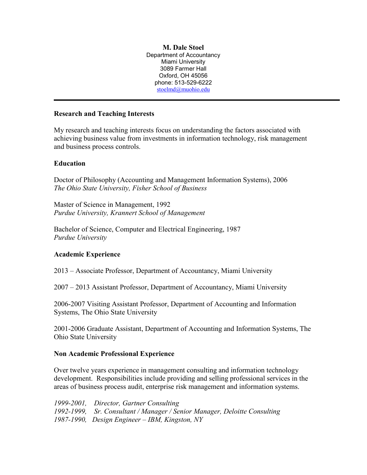**M. Dale Stoel** Department of Accountancy Miami University 3089 Farmer Hall Oxford, OH 45056 phone: 513-529-6222 [stoelmd@muohio.edu](mailto:stoelmd@muohio.edu)

## **Research and Teaching Interests**

My research and teaching interests focus on understanding the factors associated with achieving business value from investments in information technology, risk management and business process controls.

# **Education**

Doctor of Philosophy (Accounting and Management Information Systems), 2006 *The Ohio State University, Fisher School of Business*

Master of Science in Management, 1992 *Purdue University, Krannert School of Management*

Bachelor of Science, Computer and Electrical Engineering, 1987 *Purdue University*

## **Academic Experience**

2013 – Associate Professor, Department of Accountancy, Miami University

2007 – 2013 Assistant Professor, Department of Accountancy, Miami University

2006-2007 Visiting Assistant Professor, Department of Accounting and Information Systems, The Ohio State University

2001-2006 Graduate Assistant, Department of Accounting and Information Systems, The Ohio State University

## **Non Academic Professional Experience**

Over twelve years experience in management consulting and information technology development. Responsibilities include providing and selling professional services in the areas of business process audit, enterprise risk management and information systems.

*1999-2001, Director, Gartner Consulting 1992-1999, Sr. Consultant / Manager / Senior Manager, Deloitte Consulting 1987-1990, Design Engineer – IBM, Kingston, NY*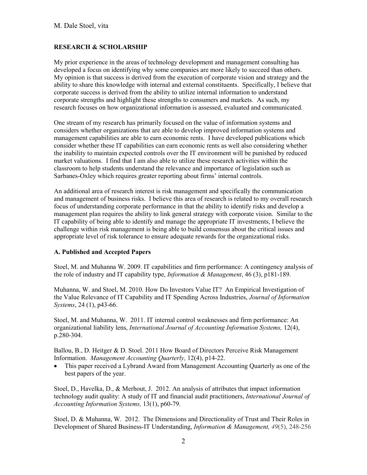## **RESEARCH & SCHOLARSHIP**

My prior experience in the areas of technology development and management consulting has developed a focus on identifying why some companies are more likely to succeed than others. My opinion is that success is derived from the execution of corporate vision and strategy and the ability to share this knowledge with internal and external constituents. Specifically, I believe that corporate success is derived from the ability to utilize internal information to understand corporate strengths and highlight these strengths to consumers and markets. As such, my research focuses on how organizational information is assessed, evaluated and communicated.

One stream of my research has primarily focused on the value of information systems and considers whether organizations that are able to develop improved information systems and management capabilities are able to earn economic rents. I have developed publications which consider whether these IT capabilities can earn economic rents as well also considering whether the inability to maintain expected controls over the IT environment will be punished by reduced market valuations. I find that I am also able to utilize these research activities within the classroom to help students understand the relevance and importance of legislation such as Sarbanes-Oxley which requires greater reporting about firms' internal controls.

An additional area of research interest is risk management and specifically the communication and management of business risks. I believe this area of research is related to my overall research focus of understanding corporate performance in that the ability to identify risks and develop a management plan requires the ability to link general strategy with corporate vision. Similar to the IT capability of being able to identify and manage the appropriate IT investments, I believe the challenge within risk management is being able to build consensus about the critical issues and appropriate level of risk tolerance to ensure adequate rewards for the organizational risks.

### **A. Published and Accepted Papers**

Stoel, M. and Muhanna W. 2009. IT capabilities and firm performance: A contingency analysis of the role of industry and IT capability type, *Information & Management*, 46 (3), p181-189.

Muhanna, W. and Stoel, M. 2010. How Do Investors Value IT? An Empirical Investigation of the Value Relevance of IT Capability and IT Spending Across Industries, *Journal of Information Systems*, 24 (1), p43-66.

Stoel, M. and Muhanna, W. 2011. IT internal control weaknesses and firm performance: An organizational liability lens, *International Journal of Accounting Information Systems,* 12(4), p.280-304.

Ballou, B., D. Heitger & D. Stoel. 2011 How Board of Directors Perceive Risk Management Information. *Management Accounting Quarterly,* 12(4), p14-22.

• This paper received a Lybrand Award from Management Accounting Quarterly as one of the best papers of the year.

Stoel, D., Havelka, D., & Merhout, J. 2012. An analysis of attributes that impact information technology audit quality: A study of IT and financial audit practitioners, *International Journal of Accounting Information Systems,* 13(1), p60-79.

Stoel, D. & Muhanna, W. 2012. The Dimensions and Directionality of Trust and Their Roles in Development of Shared Business-IT Understanding, *Information & Management, 49*(5), 248-256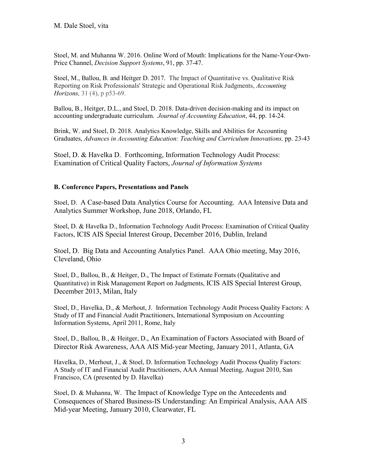Stoel, M. and Muhanna W. 2016. Online Word of Mouth: Implications for the Name-Your-Own-Price Channel, *Decision Support Systems*, 91, pp. 37-47.

Stoel, M., Ballou, B. and Heitger D. 2017. The Impact of Quantitative vs. Qualitative Risk Reporting on Risk Professionals' Strategic and Operational Risk Judgments, *Accounting Horizons,* 31 (4), p p53-69.

Ballou, B., Heitger, D.L., and Stoel, D. 2018. Data-driven decision-making and its impact on accounting undergraduate curriculum. *Journal of Accounting Education*, 44, pp. 14-24.

Brink, W. and Stoel, D. 2018. Analytics Knowledge, Skills and Abilities for Accounting Graduates, *Advances in Accounting Education: Teaching and Curriculum Innovations,* pp. 23-43

Stoel, D. & Havelka D. Forthcoming, Information Technology Audit Process: Examination of Critical Quality Factors, *Journal of Information Systems*

## **B. Conference Papers, Presentations and Panels**

Stoel, D. A Case-based Data Analytics Course for Accounting. AAA Intensive Data and Analytics Summer Workshop, June 2018, Orlando, FL

Stoel, D. & Havelka D., Information Technology Audit Process: Examination of Critical Quality Factors, ICIS AIS Special Interest Group, December 2016, Dublin, Ireland

Stoel, D. Big Data and Accounting Analytics Panel. AAA Ohio meeting, May 2016, Cleveland, Ohio

Stoel, D., Ballou, B., & Heitger, D., The Impact of Estimate Formats (Qualitative and Quantitative) in Risk Management Report on Judgments, ICIS AIS Special Interest Group, December 2013, Milan, Italy

Stoel, D., Havelka, D., & Merhout, J. Information Technology Audit Process Quality Factors: A Study of IT and Financial Audit Practitioners, International Symposium on Accounting Information Systems, April 2011, Rome, Italy

Stoel, D., Ballou, B., & Heitger, D., An Examination of Factors Associated with Board of Director Risk Awareness, AAA AIS Mid-year Meeting, January 2011, Atlanta, GA

Havelka, D., Merhout, J., & Stoel, D. Information Technology Audit Process Quality Factors: A Study of IT and Financial Audit Practitioners, AAA Annual Meeting, August 2010, San Francisco, CA (presented by D. Havelka)

Stoel, D. & Muhanna, W. The Impact of Knowledge Type on the Antecedents and Consequences of Shared Business-IS Understanding: An Empirical Analysis, AAA AIS Mid-year Meeting, January 2010, Clearwater, FL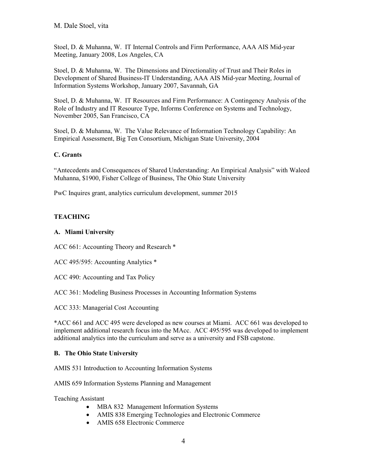Stoel, D. & Muhanna, W. IT Internal Controls and Firm Performance, AAA AIS Mid-year Meeting, January 2008, Los Angeles, CA

Stoel, D. & Muhanna, W. The Dimensions and Directionality of Trust and Their Roles in Development of Shared Business-IT Understanding, AAA AIS Mid-year Meeting, Journal of Information Systems Workshop, January 2007, Savannah, GA

Stoel, D. & Muhanna, W. IT Resources and Firm Performance: A Contingency Analysis of the Role of Industry and IT Resource Type, Informs Conference on Systems and Technology, November 2005, San Francisco, CA

Stoel, D. & Muhanna, W. [The Value Relevance of Information Technology Capability: An](file:///D:%5Cdale%5Csept42018%5Cpersonal%5Cpersonal%5Cannual%20perf%20and%20dossiers%5Cperf%202014%5Cvitas%20dossiers%5Cexternal%20package%5Cexternal%20package%20stoel%5C1%20vita%5COld%20Computer%5Cstoel%20stuff%5CLocal%20Settings%5CTemp%5CTemporary%20Directory%203%20for%20office%20pc%202-21.zip%5Cjobs%5Cdale%5CValueRelevance-MISQ-Oct04.doc)  [Empirical Assessment,](file:///D:%5Cdale%5Csept42018%5Cpersonal%5Cpersonal%5Cannual%20perf%20and%20dossiers%5Cperf%202014%5Cvitas%20dossiers%5Cexternal%20package%5Cexternal%20package%20stoel%5C1%20vita%5COld%20Computer%5Cstoel%20stuff%5CLocal%20Settings%5CTemp%5CTemporary%20Directory%203%20for%20office%20pc%202-21.zip%5Cjobs%5Cdale%5CValueRelevance-MISQ-Oct04.doc) Big Ten Consortium, Michigan State University, 2004

## **C. Grants**

"Antecedents and Consequences of Shared Understanding: An Empirical Analysis" with Waleed Muhanna, \$1900, Fisher College of Business, The Ohio State University

PwC Inquires grant, analytics curriculum development, summer 2015

### **TEACHING**

### **A. Miami University**

ACC 661: Accounting Theory and Research \*

ACC 495/595: Accounting Analytics \*

ACC 490: Accounting and Tax Policy

ACC 361: Modeling Business Processes in Accounting Information Systems

ACC 333: Managerial Cost Accounting

\*ACC 661 and ACC 495 were developed as new courses at Miami. ACC 661 was developed to implement additional research focus into the MAcc. ACC 495/595 was developed to implement additional analytics into the curriculum and serve as a university and FSB capstone.

### **B. The Ohio State University**

AMIS 531 Introduction to Accounting Information Systems

AMIS 659 Information Systems Planning and Management

Teaching Assistant

- MBA 832 Management Information Systems
- AMIS 838 Emerging Technologies and Electronic Commerce
- AMIS 658 Electronic Commerce